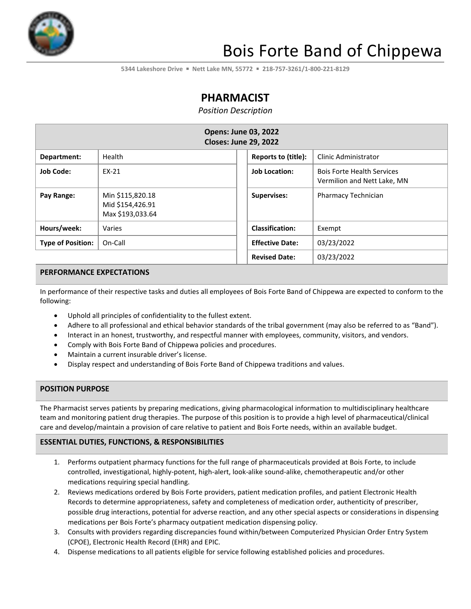

# Bois Forte Band of Chippewa

**5344 Lakeshore Drive** ▪ **Nett Lake MN, 55772** ▪ **218-757-3261/1-800-221-8129**

# **PHARMACIST**

*Position Description*

| <b>Opens: June 03, 2022</b><br><b>Closes: June 29, 2022</b> |                                                          |                        |                                                                  |  |
|-------------------------------------------------------------|----------------------------------------------------------|------------------------|------------------------------------------------------------------|--|
| Department:                                                 | Health                                                   | Reports to (title):    | Clinic Administrator                                             |  |
| <b>Job Code:</b>                                            | EX-21                                                    | <b>Job Location:</b>   | <b>Bois Forte Health Services</b><br>Vermilion and Nett Lake, MN |  |
| Pay Range:                                                  | Min \$115,820.18<br>Mid \$154,426.91<br>Max \$193,033.64 | <b>Supervises:</b>     | <b>Pharmacy Technician</b>                                       |  |
| Hours/week:                                                 | Varies                                                   | <b>Classification:</b> | Exempt                                                           |  |
| <b>Type of Position:</b>                                    | On-Call                                                  | <b>Effective Date:</b> | 03/23/2022                                                       |  |
|                                                             |                                                          | <b>Revised Date:</b>   | 03/23/2022                                                       |  |

#### **PERFORMANCE EXPECTATIONS**

In performance of their respective tasks and duties all employees of Bois Forte Band of Chippewa are expected to conform to the following:

- Uphold all principles of confidentiality to the fullest extent.
- Adhere to all professional and ethical behavior standards of the tribal government (may also be referred to as "Band").
- Interact in an honest, trustworthy, and respectful manner with employees, community, visitors, and vendors.
- Comply with Bois Forte Band of Chippewa policies and procedures.
- Maintain a current insurable driver's license.
- Display respect and understanding of Bois Forte Band of Chippewa traditions and values.

#### **POSITION PURPOSE**

The Pharmacist serves patients by preparing medications, giving pharmacological information to multidisciplinary healthcare team and monitoring patient drug therapies. The purpose of this position is to provide a high level of pharmaceutical/clinical care and develop/maintain a provision of care relative to patient and Bois Forte needs, within an available budget.

#### **ESSENTIAL DUTIES, FUNCTIONS, & RESPONSIBILITIES**

- 1. Performs outpatient pharmacy functions for the full range of pharmaceuticals provided at Bois Forte, to include controlled, investigational, highly‐potent, high‐alert, look‐alike sound‐alike, chemotherapeutic and/or other medications requiring special handling.
- 2. Reviews medications ordered by Bois Forte providers, patient medication profiles, and patient Electronic Health Records to determine appropriateness, safety and completeness of medication order, authenticity of prescriber, possible drug interactions, potential for adverse reaction, and any other special aspects or considerations in dispensing medications per Bois Forte's pharmacy outpatient medication dispensing policy.
- 3. Consults with providers regarding discrepancies found within/between Computerized Physician Order Entry System (CPOE), Electronic Health Record (EHR) and EPIC.
- 4. Dispense medications to all patients eligible for service following established policies and procedures.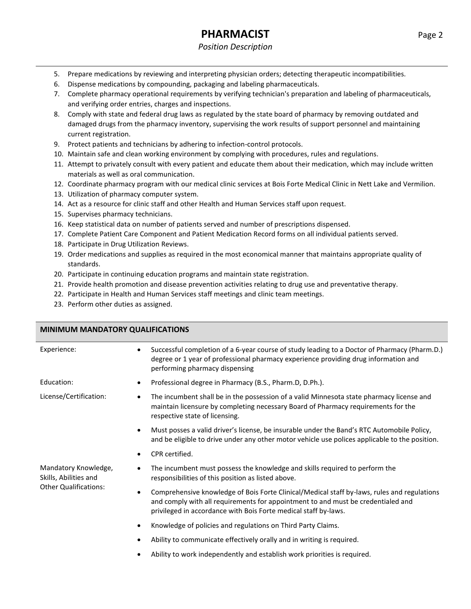# **PHARMACIST** Page 2

#### *Position Description*

- 5. Prepare medications by reviewing and interpreting physician orders; detecting therapeutic incompatibilities.
- 6. Dispense medications by compounding, packaging and labeling pharmaceuticals.
- 7. Complete pharmacy operational requirements by verifying technician's preparation and labeling of pharmaceuticals, and verifying order entries, charges and inspections.
- 8. Comply with state and federal drug laws as regulated by the state board of pharmacy by removing outdated and damaged drugs from the pharmacy inventory, supervising the work results of support personnel and maintaining current registration.
- 9. Protect patients and technicians by adhering to infection-control protocols.
- 10. Maintain safe and clean working environment by complying with procedures, rules and regulations.
- 11. Attempt to privately consult with every patient and educate them about their medication, which may include written materials as well as oral communication.
- 12. Coordinate pharmacy program with our medical clinic services at Bois Forte Medical Clinic in Nett Lake and Vermilion.
- 13. Utilization of pharmacy computer system.
- 14. Act as a resource for clinic staff and other Health and Human Services staff upon request.
- 15. Supervises pharmacy technicians.
- 16. Keep statistical data on number of patients served and number of prescriptions dispensed.
- 17. Complete Patient Care Component and Patient Medication Record forms on all individual patients served.
- 18. Participate in Drug Utilization Reviews.
- 19. Order medications and supplies as required in the most economical manner that maintains appropriate quality of standards.
- 20. Participate in continuing education programs and maintain state registration.
- 21. Provide health promotion and disease prevention activities relating to drug use and preventative therapy.
- 22. Participate in Health and Human Services staff meetings and clinic team meetings.
- 23. Perform other duties as assigned.

#### **MINIMUM MANDATORY QUALIFICATIONS**

| Experience:                                   | Successful completion of a 6-year course of study leading to a Doctor of Pharmacy (Pharm.D.)<br>degree or 1 year of professional pharmacy experience providing drug information and<br>performing pharmacy dispensing                                           |
|-----------------------------------------------|-----------------------------------------------------------------------------------------------------------------------------------------------------------------------------------------------------------------------------------------------------------------|
| Education:                                    | Professional degree in Pharmacy (B.S., Pharm.D, D.Ph.).<br>٠                                                                                                                                                                                                    |
| License/Certification:                        | The incumbent shall be in the possession of a valid Minnesota state pharmacy license and<br>$\bullet$<br>maintain licensure by completing necessary Board of Pharmacy requirements for the<br>respective state of licensing.                                    |
|                                               | Must posses a valid driver's license, be insurable under the Band's RTC Automobile Policy,<br>and be eligible to drive under any other motor vehicle use polices applicable to the position.                                                                    |
|                                               | CPR certified.                                                                                                                                                                                                                                                  |
| Mandatory Knowledge,<br>Skills, Abilities and | The incumbent must possess the knowledge and skills required to perform the<br>responsibilities of this position as listed above.                                                                                                                               |
| <b>Other Qualifications:</b>                  | Comprehensive knowledge of Bois Forte Clinical/Medical staff by-laws, rules and regulations<br>$\bullet$<br>and comply with all requirements for appointment to and must be credentialed and<br>privileged in accordance with Bois Forte medical staff by-laws. |
|                                               | Knowledge of policies and regulations on Third Party Claims.<br>$\bullet$                                                                                                                                                                                       |
|                                               | Ability to communicate effectively orally and in writing is required.                                                                                                                                                                                           |
|                                               | Ability to work independently and establish work priorities is required.                                                                                                                                                                                        |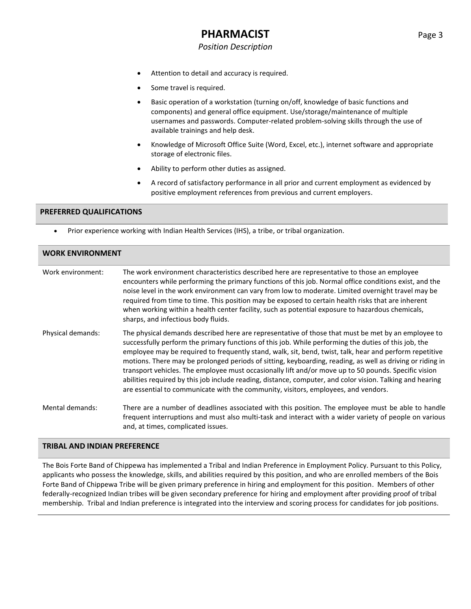## **PHARMACIST** Page 3

#### *Position Description*

- Attention to detail and accuracy is required.
- Some travel is required.
- Basic operation of a workstation (turning on/off, knowledge of basic functions and components) and general office equipment. Use/storage/maintenance of multiple usernames and passwords. Computer-related problem-solving skills through the use of available trainings and help desk.
- Knowledge of Microsoft Office Suite (Word, Excel, etc.), internet software and appropriate storage of electronic files.
- Ability to perform other duties as assigned.
- A record of satisfactory performance in all prior and current employment as evidenced by positive employment references from previous and current employers.

#### **PREFERRED QUALIFICATIONS**

• Prior experience working with Indian Health Services (IHS), a tribe, or tribal organization.

| <b>WORK ENVIRONMENT</b> |                                                                                                                                                                                                                                                                                                                                                                                                                                                                                                                                                                                                                                                                                                                                               |  |  |
|-------------------------|-----------------------------------------------------------------------------------------------------------------------------------------------------------------------------------------------------------------------------------------------------------------------------------------------------------------------------------------------------------------------------------------------------------------------------------------------------------------------------------------------------------------------------------------------------------------------------------------------------------------------------------------------------------------------------------------------------------------------------------------------|--|--|
| Work environment:       | The work environment characteristics described here are representative to those an employee<br>encounters while performing the primary functions of this job. Normal office conditions exist, and the<br>noise level in the work environment can vary from low to moderate. Limited overnight travel may be<br>required from time to time. This position may be exposed to certain health risks that are inherent<br>when working within a health center facility, such as potential exposure to hazardous chemicals,<br>sharps, and infectious body fluids.                                                                                                                                                                                  |  |  |
| Physical demands:       | The physical demands described here are representative of those that must be met by an employee to<br>successfully perform the primary functions of this job. While performing the duties of this job, the<br>employee may be required to frequently stand, walk, sit, bend, twist, talk, hear and perform repetitive<br>motions. There may be prolonged periods of sitting, keyboarding, reading, as well as driving or riding in<br>transport vehicles. The employee must occasionally lift and/or move up to 50 pounds. Specific vision<br>abilities required by this job include reading, distance, computer, and color vision. Talking and hearing<br>are essential to communicate with the community, visitors, employees, and vendors. |  |  |
| Mental demands:         | There are a number of deadlines associated with this position. The employee must be able to handle<br>frequent interruptions and must also multi-task and interact with a wider variety of people on various<br>and, at times, complicated issues.                                                                                                                                                                                                                                                                                                                                                                                                                                                                                            |  |  |

#### **TRIBAL AND INDIAN PREFERENCE**

The Bois Forte Band of Chippewa has implemented a Tribal and Indian Preference in Employment Policy. Pursuant to this Policy, applicants who possess the knowledge, skills, and abilities required by this position, and who are enrolled members of the Bois Forte Band of Chippewa Tribe will be given primary preference in hiring and employment for this position. Members of other federally-recognized Indian tribes will be given secondary preference for hiring and employment after providing proof of tribal membership. Tribal and Indian preference is integrated into the interview and scoring process for candidates for job positions.